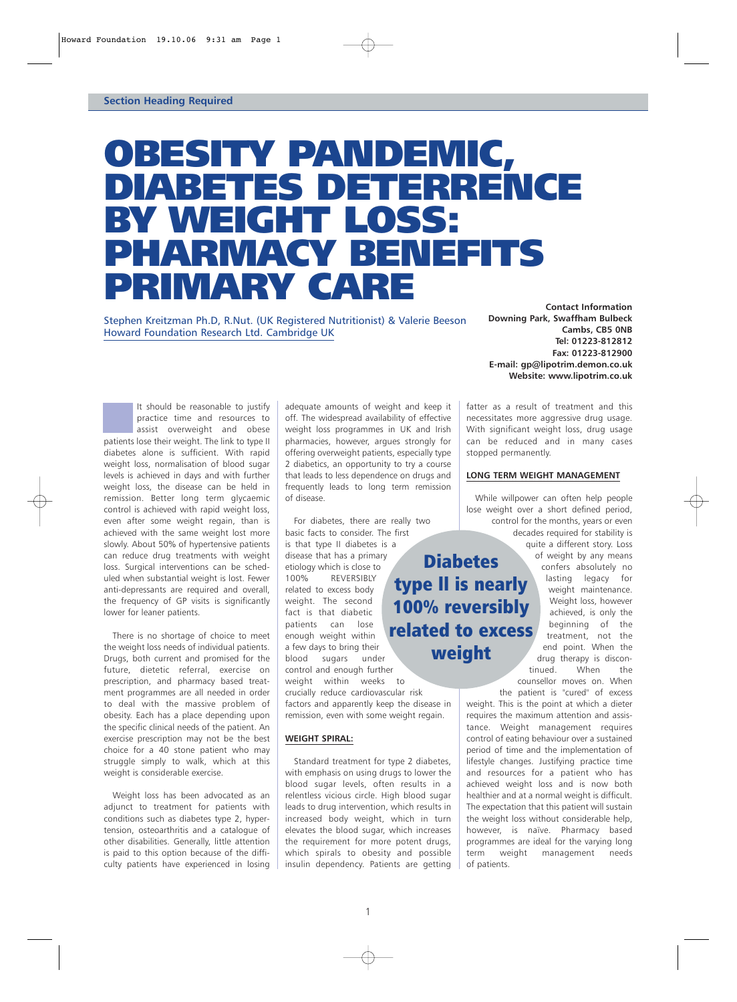# OBESITY PANDEMIC, DIABETES DETERRENCE BY WEIGHT LOSS: PHARMACY BENEFITS PRIMARY CARE

Stephen Kreitzman Ph.D, R.Nut. (UK Registered Nutritionist) & Valerie Beeson Howard Foundation Research Ltd. Cambridge UK

**Contact Information Downing Park, Swaffham Bulbeck Cambs, CB5 0NB Tel: 01223-812812 Fax: 01223-812900 E-mail: gp@lipotrim.demon.co.uk Website: www.lipotrim.co.uk**

It should be reasonable to justify practice time and resources to assist overweight and obese patients lose their weight. The link to type II diabetes alone is sufficient. With rapid weight loss, normalisation of blood sugar levels is achieved in days and with further weight loss, the disease can be held in remission. Better long term glycaemic control is achieved with rapid weight loss, even after some weight regain, than is achieved with the same weight lost more slowly. About 50% of hypertensive patients can reduce drug treatments with weight loss. Surgical interventions can be scheduled when substantial weight is lost. Fewer anti-depressants are required and overall, the frequency of GP visits is significantly lower for leaner patients.

There is no shortage of choice to meet the weight loss needs of individual patients. Drugs, both current and promised for the future, dietetic referral, exercise on prescription, and pharmacy based treatment programmes are all needed in order to deal with the massive problem of obesity. Each has a place depending upon the specific clinical needs of the patient. An exercise prescription may not be the best choice for a 40 stone patient who may struggle simply to walk, which at this weight is considerable exercise.

Weight loss has been advocated as an adjunct to treatment for patients with conditions such as diabetes type 2, hypertension, osteoarthritis and a catalogue of other disabilities. Generally, little attention is paid to this option because of the difficulty patients have experienced in losing adequate amounts of weight and keep it off. The widespread availability of effective weight loss programmes in UK and Irish pharmacies, however, argues strongly for offering overweight patients, especially type 2 diabetics, an opportunity to try a course that leads to less dependence on drugs and frequently leads to long term remission of disease.

For diabetes, there are really two basic facts to consider. The first is that type II diabetes is a disease that has a primary etiology which is close to 100% REVERSIBLY related to excess body weight. The second fact is that diabetic patients can lose enough weight within a few days to bring their blood sugars under control and enough further weight within weeks to

crucially reduce cardiovascular risk factors and apparently keep the disease in remission, even with some weight regain.

## **WEIGHT SPIRAL:**

Standard treatment for type 2 diabetes, with emphasis on using drugs to lower the blood sugar levels, often results in a relentless vicious circle. High blood sugar leads to drug intervention, which results in increased body weight, which in turn elevates the blood sugar, which increases the requirement for more potent drugs, which spirals to obesity and possible insulin dependency. Patients are getting

fatter as a result of treatment and this necessitates more aggressive drug usage. With significant weight loss, drug usage can be reduced and in many cases stopped permanently.

### **LONG TERM WEIGHT MANAGEMENT**

While willpower can often help people lose weight over a short defined period, control for the months, years or even decades required for stability is

**Diabetes** type ll is nearly 100% reversibly related to excess weight

quite a different story. Loss of weight by any means confers absolutely no lasting legacy for weight maintenance. Weight loss, however achieved, is only the beginning of the treatment, not the end point. When the drug therapy is discontinued. When the counsellor moves on. When

the patient is "cured" of excess weight. This is the point at which a dieter requires the maximum attention and assistance. Weight management requires control of eating behaviour over a sustained period of time and the implementation of lifestyle changes. Justifying practice time and resources for a patient who has achieved weight loss and is now both healthier and at a normal weight is difficult. The expectation that this patient will sustain the weight loss without considerable help, however, is naïve. Pharmacy based programmes are ideal for the varying long term weight management needs of patients.